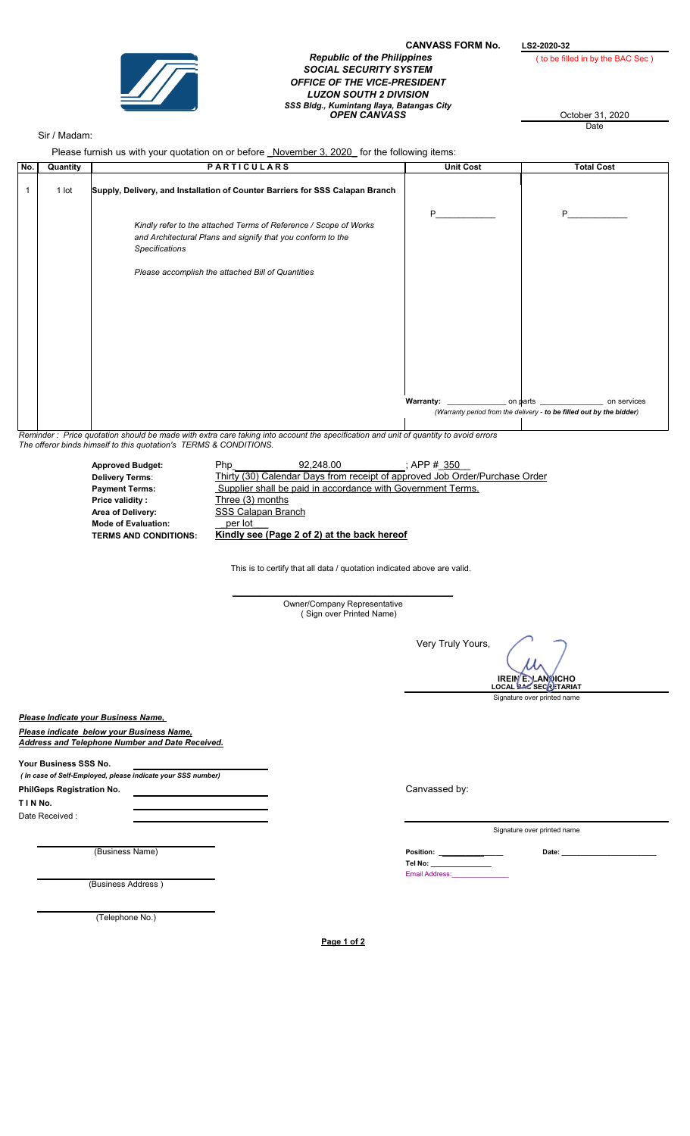

## CANVASS FORM No.  $L$ S2-2020-32<br>Republic of the Philippines (to be fill SOCIAL SECURITY SYSTEM OFFICE OF THE VICE-PRESIDENT LUZON SOUTH 2 DIVISION SSS Bldg., Kumintang Ilaya, Batangas City OPEN CANVASS October 31, 2020

( to be filled in by the BAC Sec )

**Date** 

## Sir / Madam:

Please furnish us with your quotation on or before *November 3, 2020* for the following items:

| No. | Quantity | <b>PARTICULARS</b>                                                                                                                                | <b>Unit Cost</b> | <b>Total Cost</b>                                                    |
|-----|----------|---------------------------------------------------------------------------------------------------------------------------------------------------|------------------|----------------------------------------------------------------------|
|     | 1 lot    | Supply, Delivery, and Installation of Counter Barriers for SSS Calapan Branch                                                                     |                  |                                                                      |
|     |          | Kindly refer to the attached Terms of Reference / Scope of Works<br>and Architectural Plans and signify that you conform to the<br>Specifications | P                | P                                                                    |
|     |          | Please accomplish the attached Bill of Quantities                                                                                                 |                  |                                                                      |
|     |          |                                                                                                                                                   |                  |                                                                      |
|     |          |                                                                                                                                                   |                  | (Warranty period from the delivery - to be filled out by the bidder) |
|     |          |                                                                                                                                                   |                  |                                                                      |

Reminder : Price quotation should be made with extra care taking into account the specification and unit of quantity to avoid errors The offeror binds himself to this quotation's TERMS & CONDITIONS.

| <b>Approved Budget:</b>      | Php                | 92.248.00                                   | : APP # 350                                                                 |  |
|------------------------------|--------------------|---------------------------------------------|-----------------------------------------------------------------------------|--|
| <b>Delivery Terms:</b>       |                    |                                             | Thirty (30) Calendar Days from receipt of approved Job Order/Purchase Order |  |
| <b>Payment Terms:</b>        |                    |                                             | Supplier shall be paid in accordance with Government Terms.                 |  |
| Price validity:              | Three (3) months   |                                             |                                                                             |  |
| Area of Delivery:            | SSS Calapan Branch |                                             |                                                                             |  |
| <b>Mode of Evaluation:</b>   | per lot            |                                             |                                                                             |  |
| <b>TERMS AND CONDITIONS:</b> |                    | Kindly see (Page 2 of 2) at the back hereof |                                                                             |  |

This is to certify that all data / quotation indicated above are valid.

\_\_\_\_\_\_\_\_\_\_\_\_\_\_\_\_\_\_\_\_\_\_\_\_\_\_\_\_\_\_\_\_\_\_\_\_\_\_\_\_\_\_\_\_\_\_\_\_ Owner/Company Representative ( Sign over Printed Name)

Very Truly Yours,

**IREIN È. LANDICHO**<br>LOCAL BAC SECRETARIAT

Signature over printed name

Please Indicate your Business Name,

Please indicate below your Business Name, Address and Telephone Number and Date Received.

Your Business SSS No. ( In case of Self-Employed, please indicate your SSS number)

PhilGeps Registration No. <u>Canvassed by:</u> Canvassed by:

T I N No.

Date Received :

(Business Address )

(Telephone No.)

Signature over printed name

(Business Name) Date: \_\_\_\_\_\_\_\_\_\_\_\_\_\_\_\_\_\_\_\_\_\_\_\_\_ Tel No: \_\_\_\_\_\_\_\_\_\_\_\_\_\_\_\_ Email Address: Position: \_

Page 1 of 2